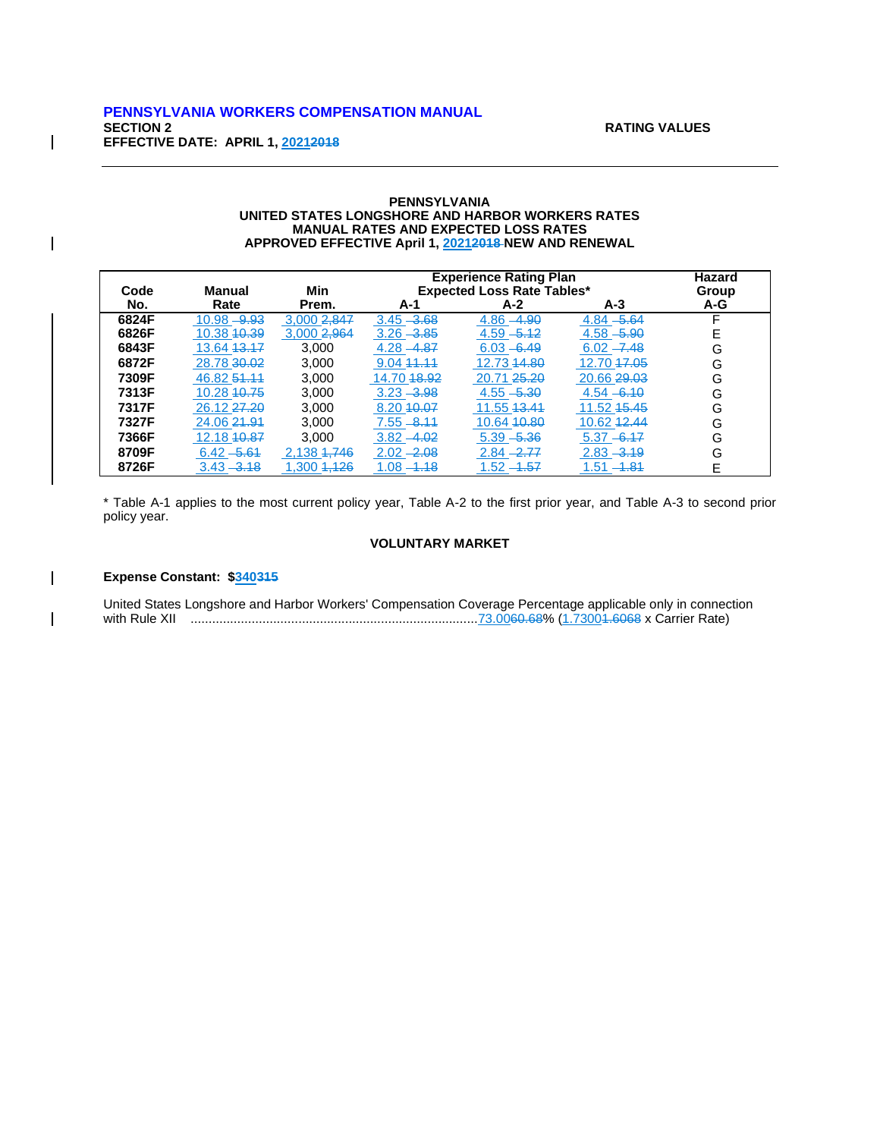## **PENNSYLVANIA UNITED STATES LONGSHORE AND HARBOR WORKERS RATES MANUAL RATES AND EXPECTED LOSS RATES APPROVED EFFECTIVE April 1, 20212018 NEW AND RENEWAL**

| Code  | Manual         | Min             | <b>Experience Rating Plan</b><br><b>Expected Loss Rate Tables*</b> |               |               | Hazard<br>Group |
|-------|----------------|-----------------|--------------------------------------------------------------------|---------------|---------------|-----------------|
| No.   | Rate           | Prem.           | A-1                                                                | A-2           | $A-3$         | A-G             |
| 6824F | $10.98 - 9.93$ | $3,000$ $2,847$ | $3.45 - 3.68$                                                      | $4.86 - 4.90$ | $4.84 - 5.64$ | F               |
| 6826F | 10.38 40.39    | 3,000 2,964     | $3.26 - 3.85$                                                      | $4.59 - 5.12$ | $4.58 - 5.90$ |                 |
| 6843F | 13.64 43.47    | 3.000           | $4.28 - 4.87$                                                      | $6.03 - 6.49$ | $6.02 -7.48$  | G               |
| 6872F | 28.78 30.02    | 3.000           | $9.04$ $44.44$                                                     | 12.73 44.80   | 12.70 47.05   | G               |
| 7309F | 46.82 54.44    | 3.000           | 14.70 48.92                                                        | 20.71 25.20   | 20.66 29.03   | G               |
| 7313F | 10.28 10.75    | 3,000           | $3.23 - 3.98$                                                      | $4.55 - 5.30$ | $4.54 - 6.10$ | G               |
| 7317F | 26.12 27.20    | 3.000           | 8.20 40.07                                                         | 11.55 43.44   | 11.52 45.45   | G               |
| 7327F | 24.06 21.91    | 3,000           | $7.55 - 8.11$                                                      | 10.64 10.80   | 10.62 12.44   | G               |
| 7366F | 12.18 10.87    | 3.000           | $3.82 - 4.02$                                                      | $5.39 - 5.36$ | $5.37 - 6.17$ | G               |
| 8709F | $6.42 - 5.64$  | 2,138 4,746     | $2.02 - 2.08$                                                      | $2.84 - 2.77$ | $2.83 - 3.19$ | G               |
| 8726F | $3.43 - 3.18$  | 1.300 4.426     | $1.08 - 1.18$                                                      | $1.52 - 1.57$ | $1.51 - 1.84$ | F               |

\* Table A-1 applies to the most current policy year, Table A-2 to the first prior year, and Table A-3 to second prior policy year.

## **VOLUNTARY MARKET**

## **Expense Constant: \$340315**

 $\overline{\phantom{a}}$ 

 $\overline{\phantom{a}}$ 

 $\mathsf{l}$ 

United States Longshore and Harbor Workers' Compensation Coverage Percentage applicable only in connection with Rule XII ................................................................................73.0060.68% (1.73001.6068 x Carrier Rate)